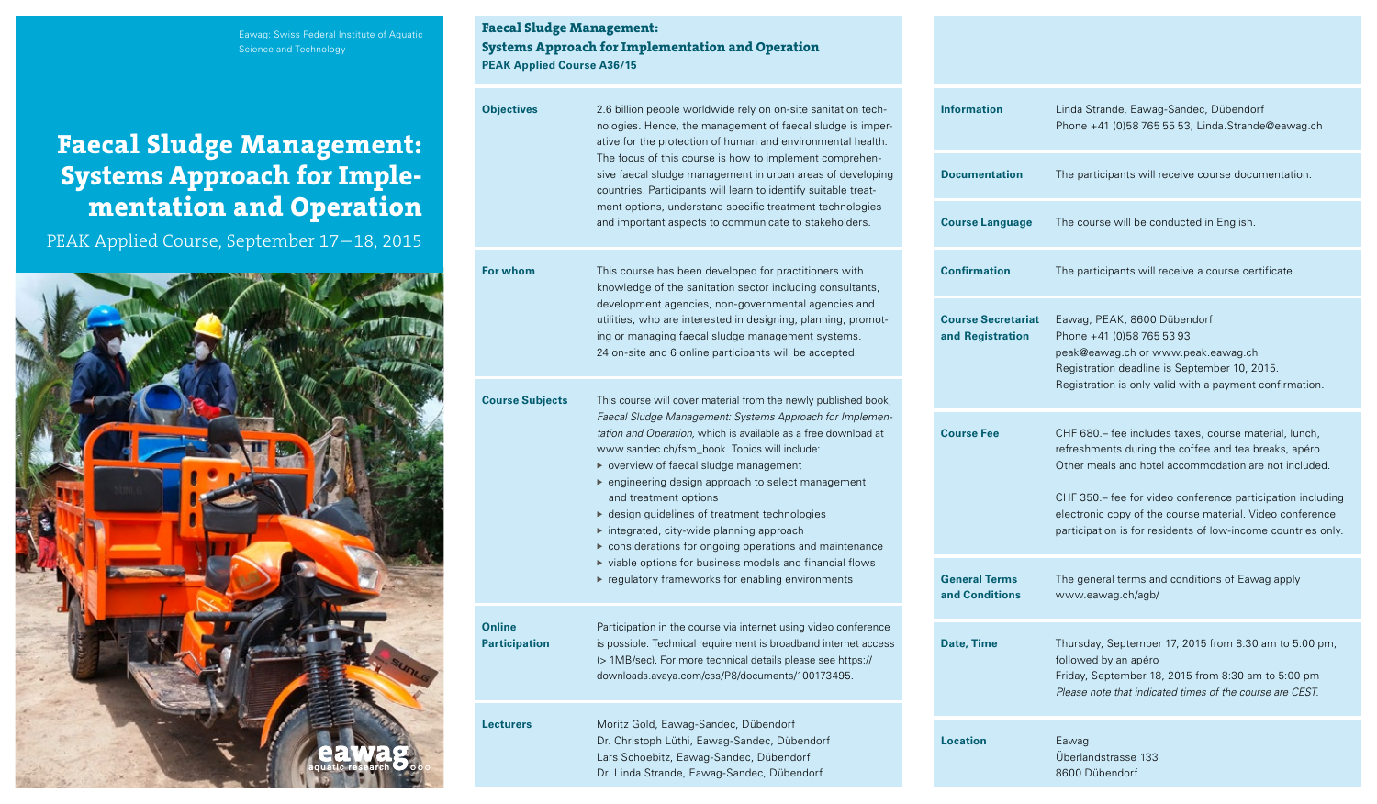## Eawag: Swiss Federal Institute of Aquatic Science and Technology

# **Faecal Sludge Management: Systems Approach for Implementation and Operation**

PEAK Applied Course, September 17–18, 2015



**Faecal Sludge Management: Systems Approach for Implementation and Operation PEAK Applied Course A36/15**

| <b>Objectives</b>              | 2.6 billion people worldwide rely on on-site sanitation tech-<br>nologies. Hence, the management of faecal sludge is imper-<br>ative for the protection of human and environmental health.<br>The focus of this course is how to implement comprehen-<br>sive faecal sludge management in urban areas of developing<br>countries. Participants will learn to identify suitable treat-<br>ment options, understand specific treatment technologies<br>and important aspects to communicate to stakeholders. |  | <b>Information</b>                            | Linda<br>Phon                                             |
|--------------------------------|------------------------------------------------------------------------------------------------------------------------------------------------------------------------------------------------------------------------------------------------------------------------------------------------------------------------------------------------------------------------------------------------------------------------------------------------------------------------------------------------------------|--|-----------------------------------------------|-----------------------------------------------------------|
|                                |                                                                                                                                                                                                                                                                                                                                                                                                                                                                                                            |  | <b>Documentation</b>                          | The p                                                     |
|                                |                                                                                                                                                                                                                                                                                                                                                                                                                                                                                                            |  | <b>Course Language</b>                        | The c                                                     |
| For whom                       | This course has been developed for practitioners with<br>knowledge of the sanitation sector including consultants,                                                                                                                                                                                                                                                                                                                                                                                         |  | <b>Confirmation</b>                           | The p                                                     |
|                                | development agencies, non-governmental agencies and<br>utilities, who are interested in designing, planning, promot-<br>ing or managing faecal sludge management systems.<br>24 on-site and 6 online participants will be accepted.                                                                                                                                                                                                                                                                        |  | <b>Course Secretariat</b><br>and Registration | Eawa<br>Phon<br>peak <sup>(</sup><br>Regis                |
| <b>Course Subjects</b>         | This course will cover material from the newly published book,                                                                                                                                                                                                                                                                                                                                                                                                                                             |  |                                               | Regis                                                     |
|                                | Faecal Sludge Management: Systems Approach for Implemen-<br>tation and Operation, which is available as a free download at<br>www.sandec.ch/fsm_book. Topics will include:<br>▶ overview of faecal sludge management<br>► engineering design approach to select management<br>and treatment options<br>▶ design guidelines of treatment technologies<br>integrated, city-wide planning approach<br>considerations for ongoing operations and maintenance                                                   |  | <b>Course Fee</b>                             | $CHF$ $6$<br>refres<br>Other<br>CHF 3<br>electr<br>partic |
|                                | viable options for business models and financial flows<br>regulatory frameworks for enabling environments                                                                                                                                                                                                                                                                                                                                                                                                  |  | <b>General Terms</b><br>and Conditions        | The g<br><b>WWW</b>                                       |
| Online<br><b>Participation</b> | Participation in the course via internet using video conference<br>is possible. Technical requirement is broadband internet access<br>(> 1MB/sec). For more technical details please see https://<br>downloads.avaya.com/css/P8/documents/100173495.                                                                                                                                                                                                                                                       |  | <b>Date, Time</b>                             | Thurs<br>follow<br>Friday<br>Pleas                        |
| <b>Lecturers</b>               | Moritz Gold, Eawag-Sandec, Dübendorf<br>Dr. Christoph Lüthi, Eawag-Sandec, Dübendorf<br>Lars Schoebitz, Eawag-Sandec, Dübendorf                                                                                                                                                                                                                                                                                                                                                                            |  | <b>Location</b>                               | Eawa<br>Überl                                             |

Dr. Linda Strande, Eawag-Sandec, Dübendorf

| <b>Information</b>                            | Linda Strande, Eawag-Sandec, Dübendorf<br>Phone +41 (0)58 765 55 53, Linda.Strande@eawag.ch                                                                                                                                                                                                                                                                       |
|-----------------------------------------------|-------------------------------------------------------------------------------------------------------------------------------------------------------------------------------------------------------------------------------------------------------------------------------------------------------------------------------------------------------------------|
| <b>Documentation</b>                          | The participants will receive course documentation.                                                                                                                                                                                                                                                                                                               |
| <b>Course Language</b>                        | The course will be conducted in English.                                                                                                                                                                                                                                                                                                                          |
| <b>Confirmation</b>                           | The participants will receive a course certificate.                                                                                                                                                                                                                                                                                                               |
| <b>Course Secretariat</b><br>and Registration | Eawag, PEAK, 8600 Dübendorf<br>Phone +41 (0)58 765 53 93<br>peak@eawag.ch or www.peak.eawag.ch<br>Registration deadline is September 10, 2015.<br>Registration is only valid with a payment confirmation.                                                                                                                                                         |
| <b>Course Fee</b>                             | CHF 680.- fee includes taxes, course material, lunch,<br>refreshments during the coffee and tea breaks, apéro.<br>Other meals and hotel accommodation are not included.<br>CHF 350.– fee for video conference participation including<br>electronic copy of the course material. Video conference<br>participation is for residents of low-income countries only. |
| <b>General Terms</b><br>and Conditions        | The general terms and conditions of Eawag apply<br>www.eawag.ch/agb/                                                                                                                                                                                                                                                                                              |
| Date, Time                                    | Thursday, September 17, 2015 from 8:30 am to 5:00 pm,<br>followed by an apéro<br>Friday, September 18, 2015 from 8:30 am to 5:00 pm<br>Please note that indicated times of the course are CEST.                                                                                                                                                                   |
| <b>Location</b>                               | Eawag<br>Überlandstrasse 133<br>8600 Dübendorf                                                                                                                                                                                                                                                                                                                    |